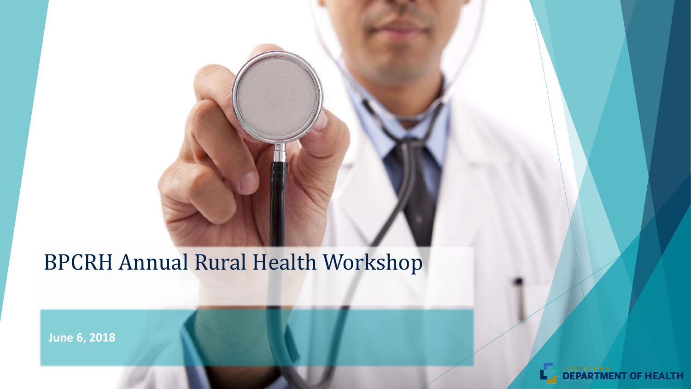#### BPCRH Annual Rural Health Workshop

**June 6, 2018**

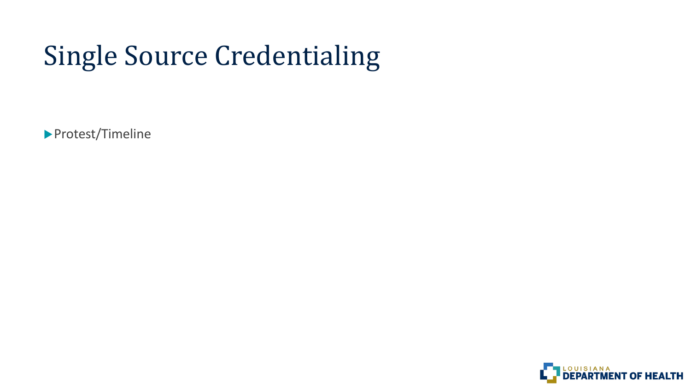# Single Source Credentialing

▶ Protest/Timeline

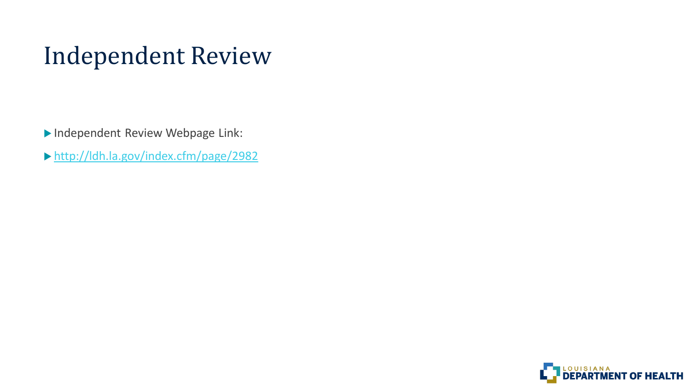# Independent Review

Independent Review Webpage Link:

<http://ldh.la.gov/index.cfm/page/2982>

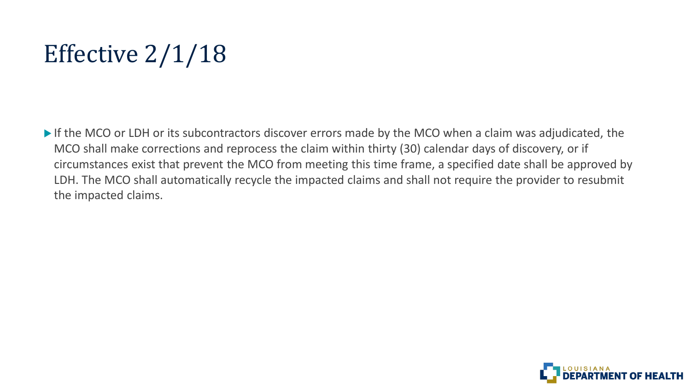# Effective 2/1/18

If the MCO or LDH or its subcontractors discover errors made by the MCO when a claim was adjudicated, the MCO shall make corrections and reprocess the claim within thirty (30) calendar days of discovery, or if circumstances exist that prevent the MCO from meeting this time frame, a specified date shall be approved by LDH. The MCO shall automatically recycle the impacted claims and shall not require the provider to resubmit the impacted claims.

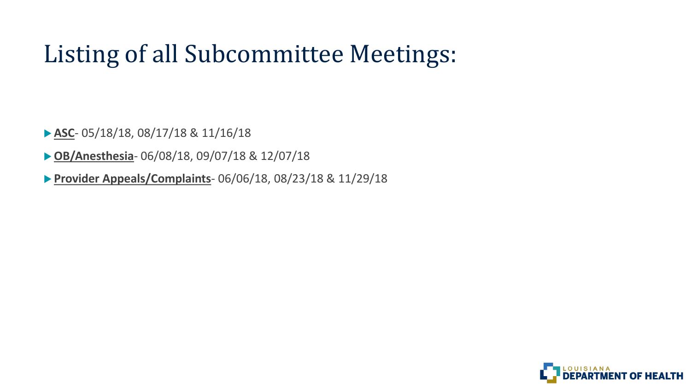# Listing of all Subcommittee Meetings:

**ASC**- 05/18/18, 08/17/18 & 11/16/18

**OB/Anesthesia**- 06/08/18, 09/07/18 & 12/07/18

**Provider Appeals/Complaints**- 06/06/18, 08/23/18 & 11/29/18

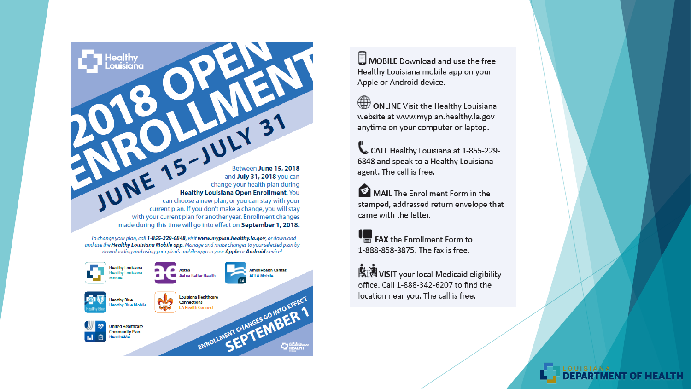TUNE 15-JULY Between June 15, 2018 and July 31, 2018 you can change your health plan during Healthy Louisiana Open Enrollment. You can choose a new plan, or you can stay with your current plan. If you don't make a change, you will stay with your current plan for another year. Enrollment changes made during this time will go into effect on September 1, 2018.

To change your plan, call 1-855-229-6848, visit www.myplan.healthy.la.gov, or download and use the **Healthy Louisiana Mobile app**. Manage and make changes to your selected plan by downloading and using your plan's mobile app on your Apple or Android device!

ealthy



MOBILE Download and use the free Healthy Louisiana mobile app on your Apple or Android device.

ONLINE Visit the Healthy Louisiana website at www.myplan.healthy.la.gov anytime on your computer or laptop.

CALL Healthy Louisiana at 1-855-229-6848 and speak to a Healthy Louisiana agent. The call is free.

MAIL The Enrollment Form in the stamped, addressed return envelope that came with the letter.

FAX the Enrollment Form to 1-888-858-3875. The fax is free.

**义词 VISIT** your local Medicaid eligibility office. Call 1-888-342-6207 to find the location near you. The call is free.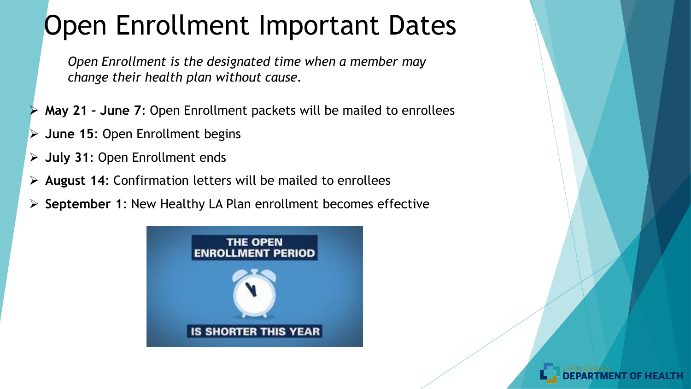# Open Enrollment Important Dates

*Open Enrollment is the designated time when a member may change their health plan without cause.* 

- **May 21 – June 7**: Open Enrollment packets will be mailed to enrollees
- **June 15**: Open Enrollment begins
- **July 31**: Open Enrollment ends
- **August 14**: Confirmation letters will be mailed to enrollees
- **September 1**: New Healthy LA Plan enrollment becomes effective

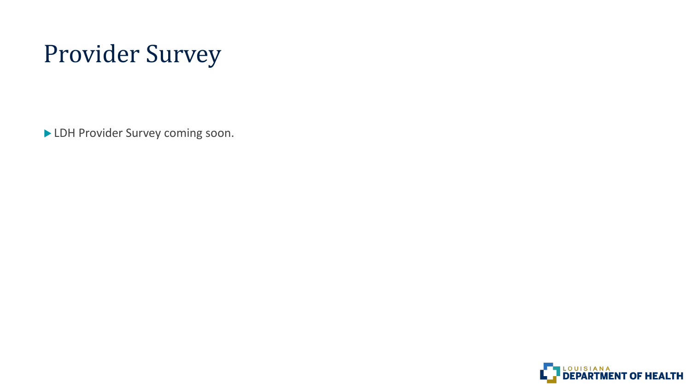# Provider Survey

LDH Provider Survey coming soon.

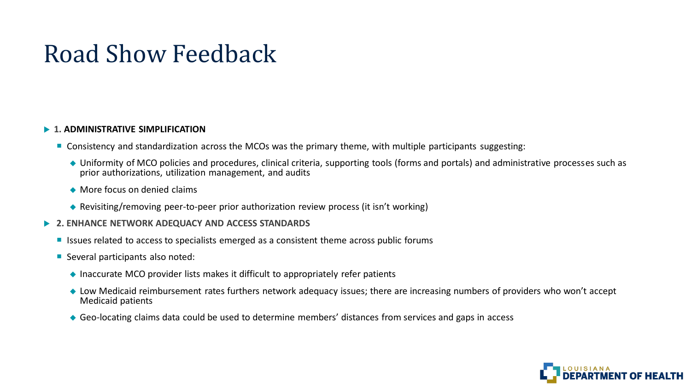### Road Show Feedback

#### **1. ADMINISTRATIVE SIMPLIFICATION**

- Consistency and standardization across the MCOs was the primary theme, with multiple participants suggesting:
	- Uniformity of MCO policies and procedures, clinical criteria, supporting tools (forms and portals) and administrative processes such as prior authorizations, utilization management, and audits
	- ◆ More focus on denied claims
	- ◆ Revisiting/removing peer-to-peer prior authorization review process (it isn't working)
- **2. ENHANCE NETWORK ADEQUACY AND ACCESS STANDARDS**
	- Issues related to access to specialists emerged as a consistent theme across public forums
	- Several participants also noted:
		- $\triangle$  Inaccurate MCO provider lists makes it difficult to appropriately refer patients
		- ◆ Low Medicaid reimbursement rates furthers network adequacy issues; there are increasing numbers of providers who won't accept Medicaid patients
		- Geo-locating claims data could be used to determine members' distances from services and gaps in access